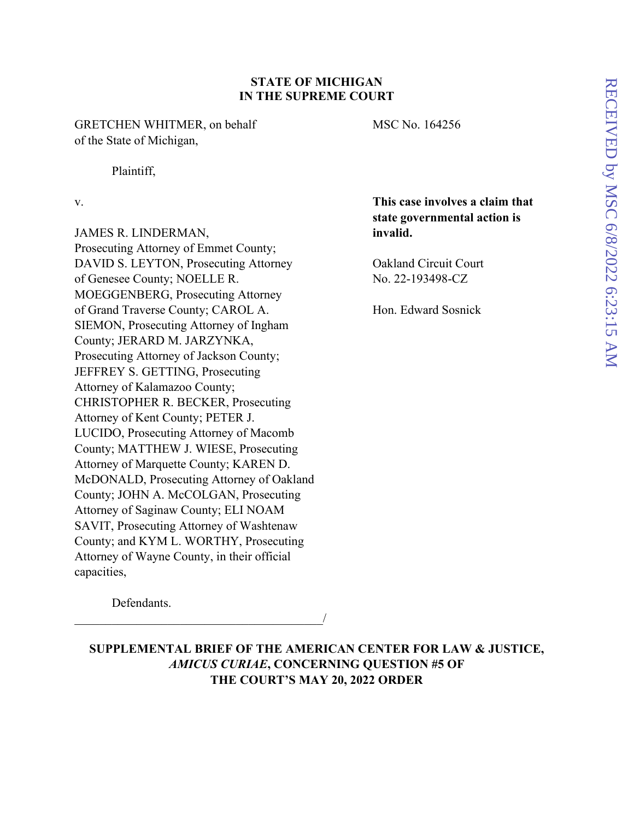### **STATE OF MICHIGAN IN THE SUPREME COURT**

GRETCHEN WHITMER, on behalf MSC No. 164256 of the State of Michigan,

Plaintiff,

JAMES R. LINDERMAN, **invalid.** Prosecuting Attorney of Emmet County; DAVID S. LEYTON, Prosecuting Attorney Oakland Circuit Court of Genesee County; NOELLE R. No. 22-193498-CZ MOEGGENBERG, Prosecuting Attorney of Grand Traverse County; CAROL A. Hon. Edward Sosnick SIEMON, Prosecuting Attorney of Ingham County; JERARD M. JARZYNKA, Prosecuting Attorney of Jackson County; JEFFREY S. GETTING, Prosecuting Attorney of Kalamazoo County; CHRISTOPHER R. BECKER, Prosecuting Attorney of Kent County; PETER J. LUCIDO, Prosecuting Attorney of Macomb County; MATTHEW J. WIESE, Prosecuting Attorney of Marquette County; KAREN D. McDONALD, Prosecuting Attorney of Oakland County; JOHN A. McCOLGAN, Prosecuting Attorney of Saginaw County; ELI NOAM SAVIT, Prosecuting Attorney of Washtenaw County; and KYM L. WORTHY, Prosecuting Attorney of Wayne County, in their official capacities,

 $\overline{\phantom{a}}$ 

v. **This case involves a claim that state governmental action is** 

Defendants.

**SUPPLEMENTAL BRIEF OF THE AMERICAN CENTER FOR LAW & JUSTICE,** *AMICUS CURIAE***, CONCERNING QUESTION #5 OF THE COURT'S MAY 20, 2022 ORDER**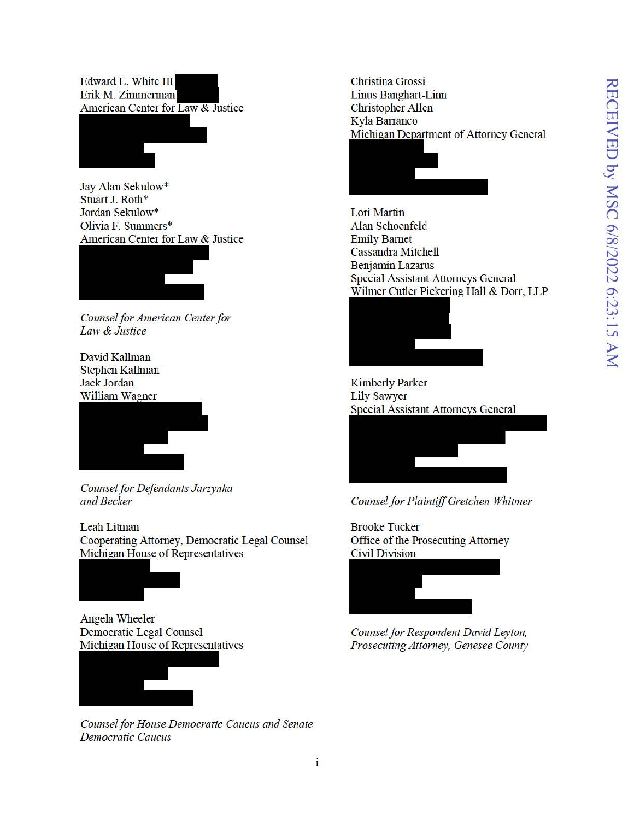Edward L. White III Erik M. Zimmerman American Center for Law & Justice

Jay Alan Sekulow\* Stuart J. Roth\* Jordan Sekulow\* Olivia F. Summers\* American Center for Law & Justice



Counsel for American Center for Law & Justice

David Kallman **Stephen Kallman** Jack Jordan **William Wagner** 



Counsel for Defendants Jarzynka and Becker

Leah Litman Cooperating Attorney, Democratic Legal Counsel Michigan House of Representatives



**Angela Wheeler Democratic Legal Counsel** Michigan House of Representatives



Counsel for House Democratic Caucus and Senate **Democratic Caucus** 

**Christina Grossi Linus Banghart-Linn Christopher Allen** Kyla Barranco Michigan Department of Attorney General



Lori Martin Alan Schoenfeld **Emily Barnet Cassandra Mitchell Benjamin Lazarus Special Assistant Attorneys General** Wilmer Cutler Pickering Hall & Dorr, LLP



**Kimberly Parker Lily Sawyer Special Assistant Attorneys General** 



Counsel for Plaintiff Gretchen Whitmer

**Brooke Tucker** Office of the Prosecuting Attorney **Civil Division** 



Counsel for Respondent David Leyton, Prosecuting Attorney, Genesee County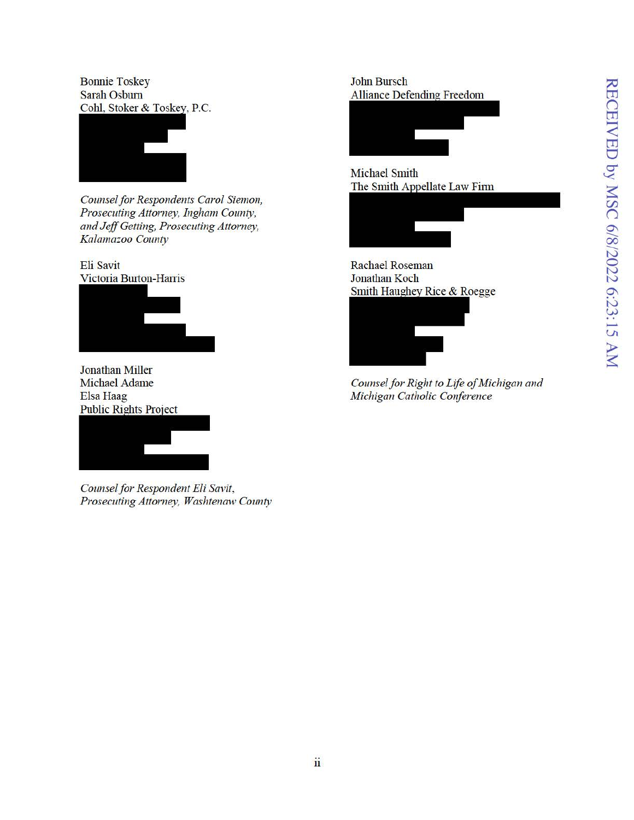**Bonnie Toskey** Sarah Osburn Cohl, Stoker & Toskey, P.C.



Counsel for Respondents Carol Siemon, Prosecuting Attorney, Ingham County, and Jeff Getting, Prosecuting Attorney, Kalamazoo County

Eli Savit Victoria Burton-Harris



**Jonathan Miller Michael Adame** Elsa Haag **Public Rights Project** 



Counsel for Respondent Eli Savit, Prosecuting Attorney, Washtenaw County

**John Bursch Alliance Defending Freedom** 



**Michael Smith** The Smith Appellate Law Firm



**Rachael Roseman** Jonathan Koch Smith Haughey Rice & Roegge



Counsel for Right to Life of Michigan and Michigan Catholic Conference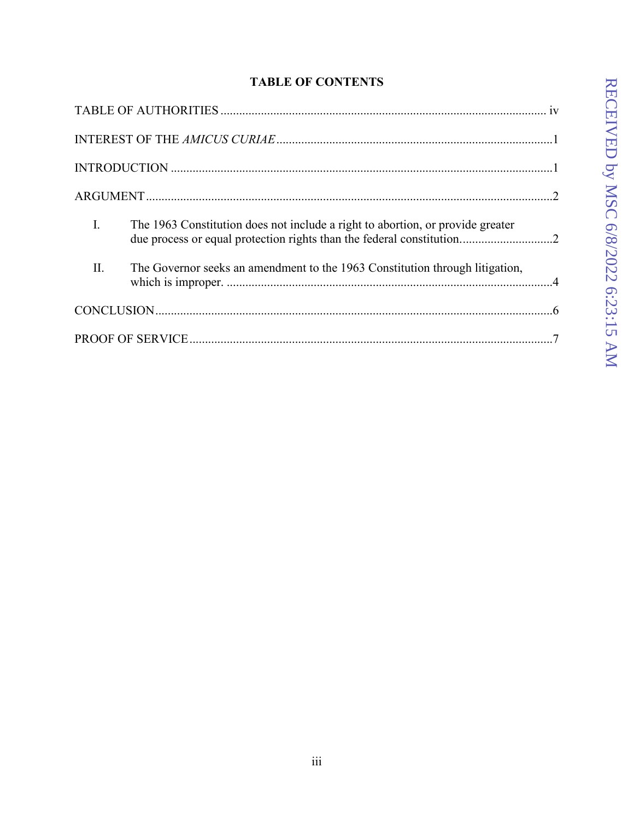# **TABLE OF CONTENTS**

| $\mathbf{I}$ .<br>The 1963 Constitution does not include a right to abortion, or provide greater<br>due process or equal protection rights than the federal constitution2 |
|---------------------------------------------------------------------------------------------------------------------------------------------------------------------------|
| II.<br>The Governor seeks an amendment to the 1963 Constitution through litigation,                                                                                       |
|                                                                                                                                                                           |
|                                                                                                                                                                           |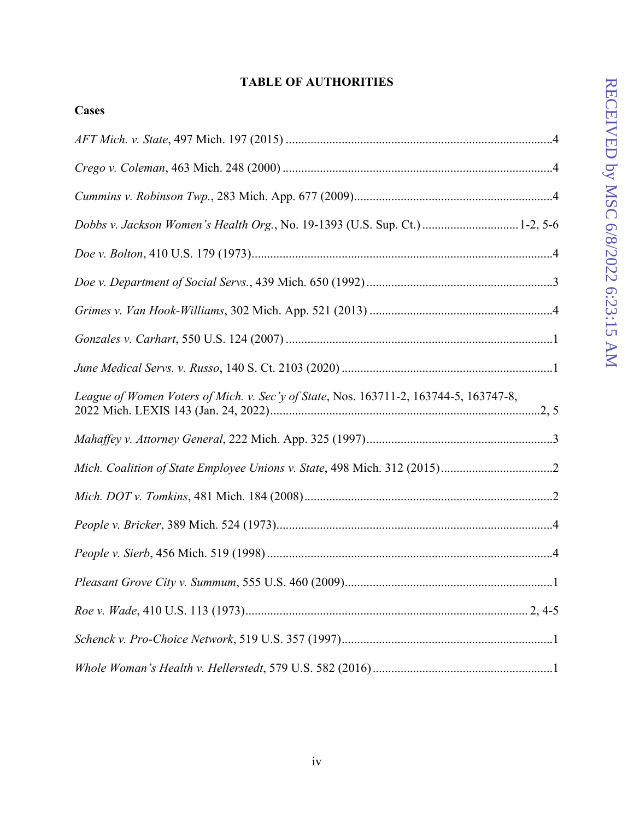# **TABLE OF AUTHORITIES**

| Cases                                                                                 |
|---------------------------------------------------------------------------------------|
|                                                                                       |
|                                                                                       |
|                                                                                       |
| Dobbs v. Jackson Women's Health Org., No. 19-1393 (U.S. Sup. Ct.) 1-2, 5-6            |
|                                                                                       |
|                                                                                       |
|                                                                                       |
|                                                                                       |
|                                                                                       |
| League of Women Voters of Mich. v. Sec'y of State, Nos. 163711-2, 163744-5, 163747-8, |
|                                                                                       |
|                                                                                       |
|                                                                                       |
|                                                                                       |
|                                                                                       |
|                                                                                       |
|                                                                                       |
|                                                                                       |
|                                                                                       |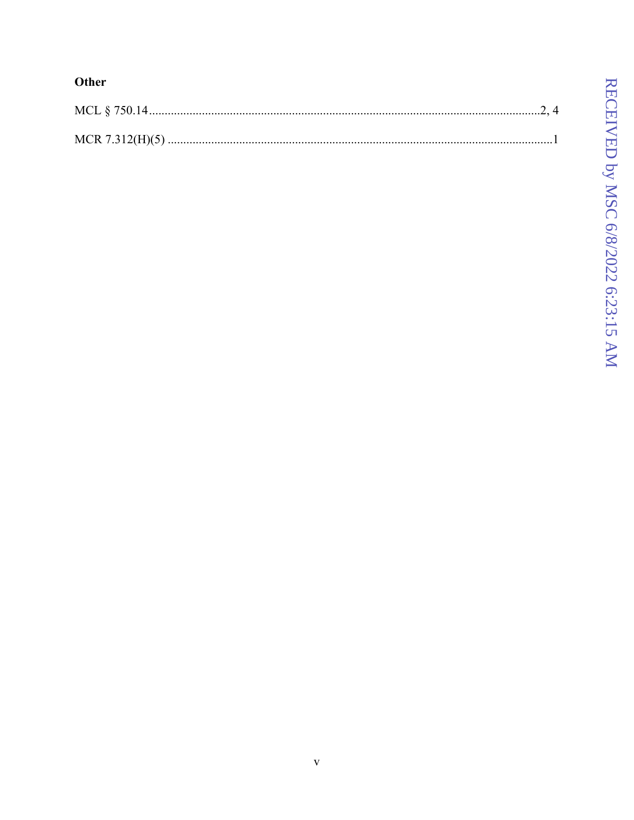# Other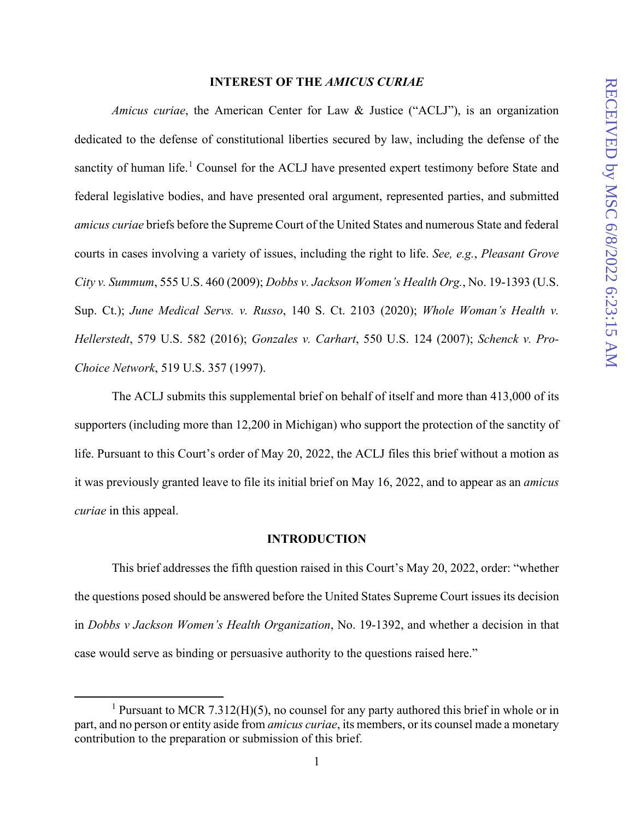#### **INTEREST OF THE** *AMICUS CURIAE*

*Amicus curiae*, the American Center for Law & Justice ("ACLJ"), is an organization dedicated to the defense of constitutional liberties secured by law, including the defense of the sanctity of human life.<sup>1</sup> Counsel for the ACLJ have presented expert testimony before State and federal legislative bodies, and have presented oral argument, represented parties, and submitted *amicus curiae* briefs before the Supreme Court of the United States and numerous State and federal courts in cases involving a variety of issues, including the right to life. *See, e.g.*, *Pleasant Grove City v. Summum*, 555 U.S. 460 (2009); *Dobbs v. Jackson Women's Health Org.*, No. 19-1393 (U.S. Sup. Ct.); *June Medical Servs. v. Russo*, 140 S. Ct. 2103 (2020); *Whole Woman's Health v. Hellerstedt*, 579 U.S. 582 (2016); *Gonzales v. Carhart*, 550 U.S. 124 (2007); *Schenck v. Pro-Choice Network*, 519 U.S. 357 (1997).

The ACLJ submits this supplemental brief on behalf of itself and more than 413,000 of its supporters (including more than 12,200 in Michigan) who support the protection of the sanctity of life. Pursuant to this Court's order of May 20, 2022, the ACLJ files this brief without a motion as it was previously granted leave to file its initial brief on May 16, 2022, and to appear as an *amicus curiae* in this appeal.

#### **INTRODUCTION**

This brief addresses the fifth question raised in this Court's May 20, 2022, order: "whether the questions posed should be answered before the United States Supreme Court issues its decision in *Dobbs v Jackson Women's Health Organization*, No. 19-1392, and whether a decision in that case would serve as binding or persuasive authority to the questions raised here."

<sup>&</sup>lt;sup>1</sup> Pursuant to MCR 7.312(H)(5), no counsel for any party authored this brief in whole or in part, and no person or entity aside from *amicus curiae*, its members, or its counsel made a monetary contribution to the preparation or submission of this brief.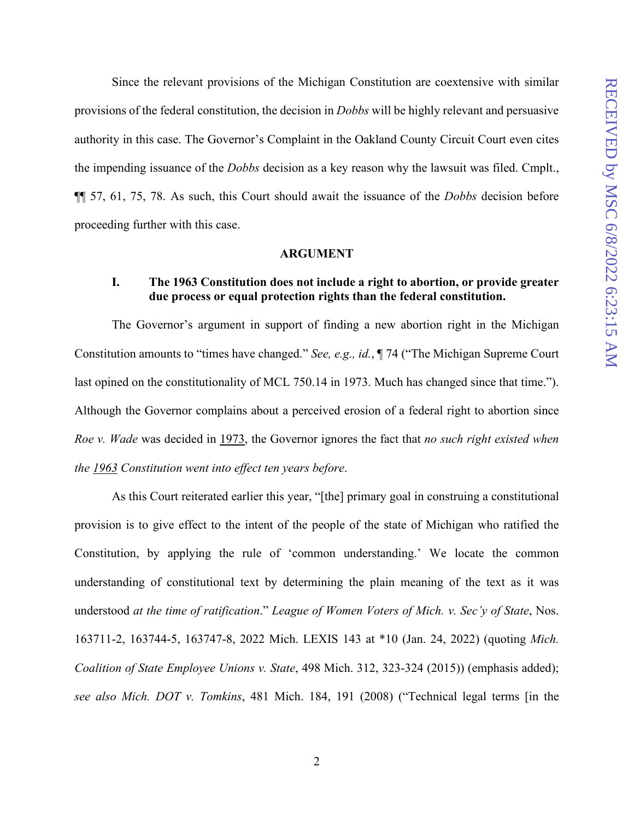Since the relevant provisions of the Michigan Constitution are coextensive with similar provisions of the federal constitution, the decision in *Dobbs* will be highly relevant and persuasive authority in this case. The Governor's Complaint in the Oakland County Circuit Court even cites the impending issuance of the *Dobbs* decision as a key reason why the lawsuit was filed. Cmplt., ¶¶ 57, 61, 75, 78. As such, this Court should await the issuance of the *Dobbs* decision before proceeding further with this case.

#### **ARGUMENT**

## **I. The 1963 Constitution does not include a right to abortion, or provide greater due process or equal protection rights than the federal constitution.**

The Governor's argument in support of finding a new abortion right in the Michigan Constitution amounts to "times have changed." *See, e.g., id.*, ¶ 74 ("The Michigan Supreme Court last opined on the constitutionality of MCL 750.14 in 1973. Much has changed since that time."). Although the Governor complains about a perceived erosion of a federal right to abortion since *Roe v. Wade* was decided in 1973, the Governor ignores the fact that *no such right existed when the 1963 Constitution went into effect ten years before*.

As this Court reiterated earlier this year, "[the] primary goal in construing a constitutional provision is to give effect to the intent of the people of the state of Michigan who ratified the Constitution, by applying the rule of 'common understanding.' We locate the common understanding of constitutional text by determining the plain meaning of the text as it was understood *at the time of ratification*." *League of Women Voters of Mich. v. Sec'y of State*, Nos. 163711-2, 163744-5, 163747-8, 2022 Mich. LEXIS 143 at \*10 (Jan. 24, 2022) (quoting *Mich. Coalition of State Employee Unions v. State*, 498 Mich. 312, 323-324 (2015)) (emphasis added); *see also Mich. DOT v. Tomkins*, 481 Mich. 184, 191 (2008) ("Technical legal terms [in the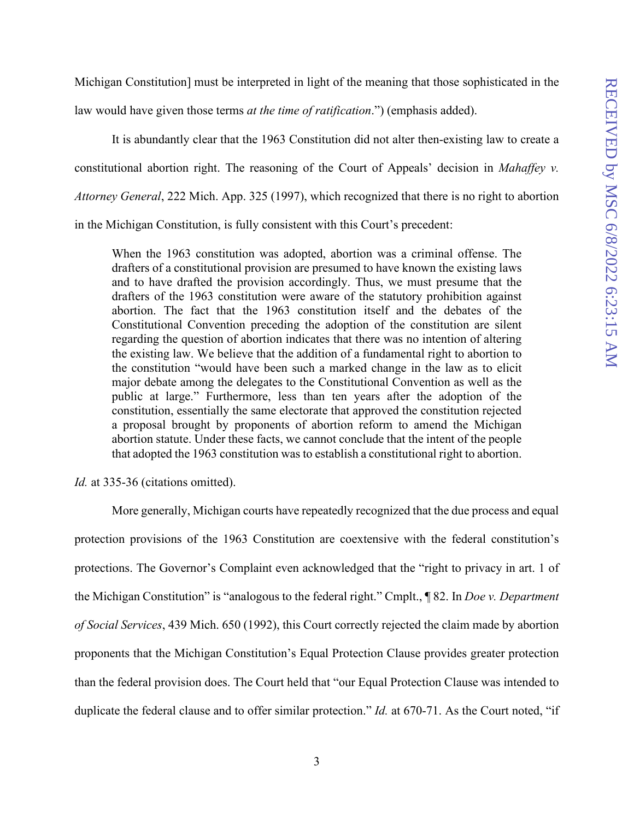Michigan Constitution] must be interpreted in light of the meaning that those sophisticated in the

law would have given those terms *at the time of ratification*.") (emphasis added).

It is abundantly clear that the 1963 Constitution did not alter then-existing law to create a constitutional abortion right. The reasoning of the Court of Appeals' decision in *Mahaffey v. Attorney General*, 222 Mich. App. 325 (1997), which recognized that there is no right to abortion in the Michigan Constitution, is fully consistent with this Court's precedent:

When the 1963 constitution was adopted, abortion was a criminal offense. The drafters of a constitutional provision are presumed to have known the existing laws and to have drafted the provision accordingly. Thus, we must presume that the drafters of the 1963 constitution were aware of the statutory prohibition against abortion. The fact that the 1963 constitution itself and the debates of the Constitutional Convention preceding the adoption of the constitution are silent regarding the question of abortion indicates that there was no intention of altering the existing law. We believe that the addition of a fundamental right to abortion to the constitution "would have been such a marked change in the law as to elicit major debate among the delegates to the Constitutional Convention as well as the public at large." Furthermore, less than ten years after the adoption of the constitution, essentially the same electorate that approved the constitution rejected a proposal brought by proponents of abortion reform to amend the Michigan abortion statute. Under these facts, we cannot conclude that the intent of the people that adopted the 1963 constitution was to establish a constitutional right to abortion.

*Id.* at 335-36 (citations omitted).

More generally, Michigan courts have repeatedly recognized that the due process and equal protection provisions of the 1963 Constitution are coextensive with the federal constitution's protections. The Governor's Complaint even acknowledged that the "right to privacy in art. 1 of the Michigan Constitution" is "analogous to the federal right." Cmplt., ¶ 82. In *Doe v. Department of Social Services*, 439 Mich. 650 (1992), this Court correctly rejected the claim made by abortion proponents that the Michigan Constitution's Equal Protection Clause provides greater protection than the federal provision does. The Court held that "our Equal Protection Clause was intended to duplicate the federal clause and to offer similar protection." *Id.* at 670-71. As the Court noted, "if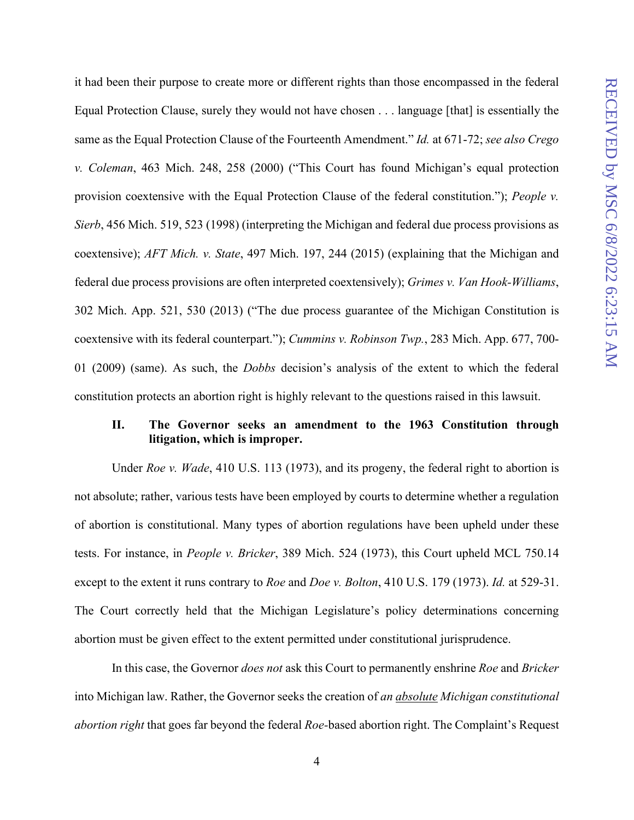it had been their purpose to create more or different rights than those encompassed in the federal Equal Protection Clause, surely they would not have chosen . . . language [that] is essentially the same as the Equal Protection Clause of the Fourteenth Amendment." *Id.* at 671-72; *see also Crego v. Coleman*, 463 Mich. 248, 258 (2000) ("This Court has found Michigan's equal protection provision coextensive with the Equal Protection Clause of the federal constitution."); *People v. Sierb*, 456 Mich. 519, 523 (1998) (interpreting the Michigan and federal due process provisions as coextensive); *AFT Mich. v. State*, 497 Mich. 197, 244 (2015) (explaining that the Michigan and federal due process provisions are often interpreted coextensively); *Grimes v. Van Hook-Williams*, 302 Mich. App. 521, 530 (2013) ("The due process guarantee of the Michigan Constitution is coextensive with its federal counterpart."); *Cummins v. Robinson Twp.*, 283 Mich. App. 677, 700- 01 (2009) (same). As such, the *Dobbs* decision's analysis of the extent to which the federal constitution protects an abortion right is highly relevant to the questions raised in this lawsuit.

## **II. The Governor seeks an amendment to the 1963 Constitution through litigation, which is improper.**

 Under *Roe v. Wade*, 410 U.S. 113 (1973), and its progeny, the federal right to abortion is not absolute; rather, various tests have been employed by courts to determine whether a regulation of abortion is constitutional. Many types of abortion regulations have been upheld under these tests. For instance, in *People v. Bricker*, 389 Mich. 524 (1973), this Court upheld MCL 750.14 except to the extent it runs contrary to *Roe* and *Doe v. Bolton*, 410 U.S. 179 (1973). *Id.* at 529-31. The Court correctly held that the Michigan Legislature's policy determinations concerning abortion must be given effect to the extent permitted under constitutional jurisprudence.

In this case, the Governor *does not* ask this Court to permanently enshrine *Roe* and *Bricker* into Michigan law. Rather, the Governor seeks the creation of *an absolute Michigan constitutional abortion right* that goes far beyond the federal *Roe-*based abortion right. The Complaint's Request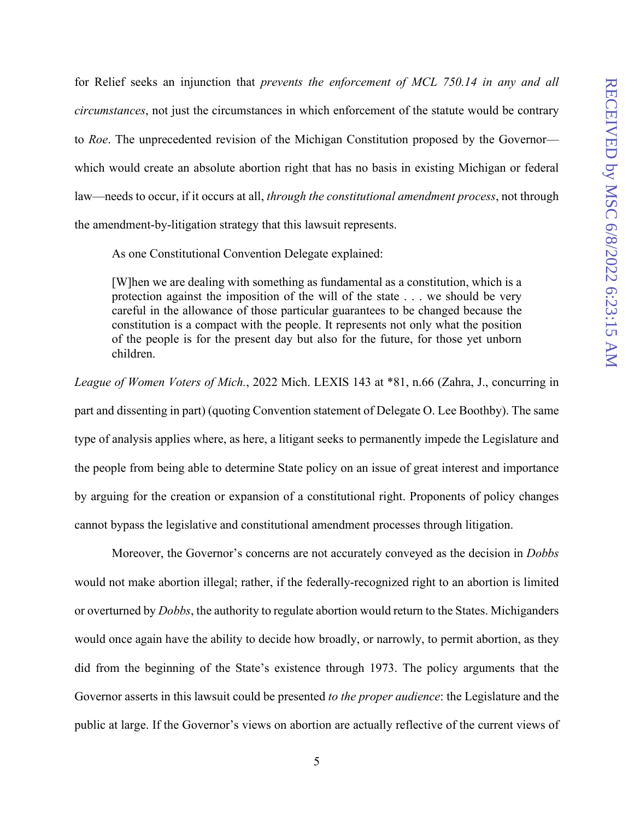for Relief seeks an injunction that *prevents the enforcement of MCL 750.14 in any and all circumstances*, not just the circumstances in which enforcement of the statute would be contrary to *Roe*. The unprecedented revision of the Michigan Constitution proposed by the Governor which would create an absolute abortion right that has no basis in existing Michigan or federal law—needs to occur, if it occurs at all, *through the constitutional amendment process*, not through the amendment-by-litigation strategy that this lawsuit represents.

As one Constitutional Convention Delegate explained:

[W]hen we are dealing with something as fundamental as a constitution, which is a protection against the imposition of the will of the state . . . we should be very careful in the allowance of those particular guarantees to be changed because the constitution is a compact with the people. It represents not only what the position of the people is for the present day but also for the future, for those yet unborn children.

*League of Women Voters of Mich.*, 2022 Mich. LEXIS 143 at \*81, n.66 (Zahra, J., concurring in part and dissenting in part) (quoting Convention statement of Delegate O. Lee Boothby). The same type of analysis applies where, as here, a litigant seeks to permanently impede the Legislature and the people from being able to determine State policy on an issue of great interest and importance by arguing for the creation or expansion of a constitutional right. Proponents of policy changes cannot bypass the legislative and constitutional amendment processes through litigation.

 Moreover, the Governor's concerns are not accurately conveyed as the decision in *Dobbs* would not make abortion illegal; rather, if the federally-recognized right to an abortion is limited or overturned by *Dobbs*, the authority to regulate abortion would return to the States. Michiganders would once again have the ability to decide how broadly, or narrowly, to permit abortion, as they did from the beginning of the State's existence through 1973. The policy arguments that the Governor asserts in this lawsuit could be presented *to the proper audience*: the Legislature and the public at large. If the Governor's views on abortion are actually reflective of the current views of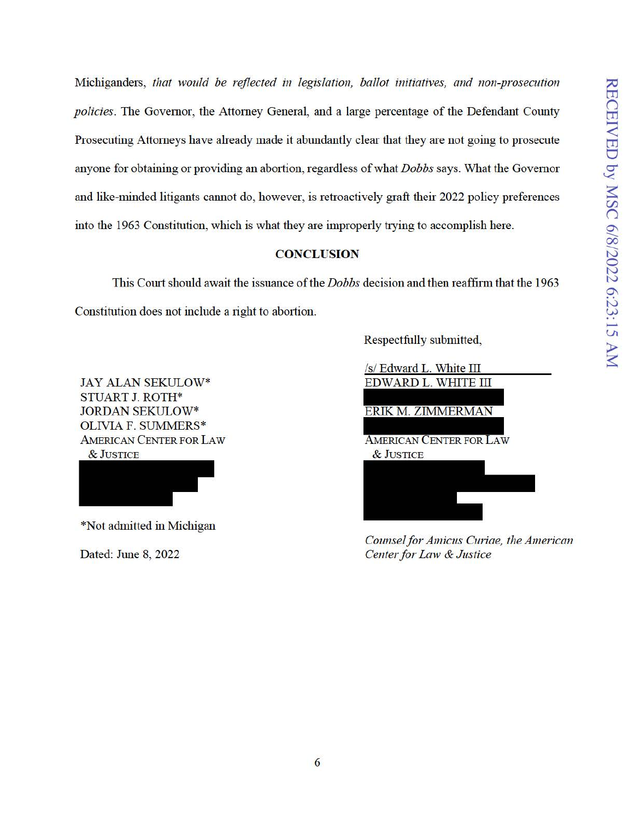Michiganders, *that would be reflected in legislation, ballot initiatives, and non-prosecution policies.* The Governor, the Attorney General, and a large percentage of the Defendant County Prosecuting Attorneys have already made it abundantly clear that they are not going to prosecute anyone for obtaining or providing an abortion, regardless of what *Dobbs* says. What the Governor and like-minded litigants cannot do, however, is retroactively graft their 2022 policy preferences into the 1963 Constitution, which is what they are improperly tiying to accomplish here.

## **CONCLUSION**

This Court should await the issuance of the *Dobbs* decision and then reaffirm that the 1963 Constitution does not include a right to abortion.

JAY ALAN SEKULOW\* STUART J. ROTH\* JORDAN SEKULOW\* OLIVIA F. SUMMERS\* AMERICAN CENTER FOR LAW &JUSTICE

\*Not admitted in Michigan

Dated: June 8, 2022

Respectfully submitted,

/s/ Edward L. White III EDWARD L. WHITE III ERIK M. ZIMMERMAN AMERICAN CENTER FOR LAW &JUSTICE

*Counsel for Amicus Curiae, the American Center for Law & Justice*